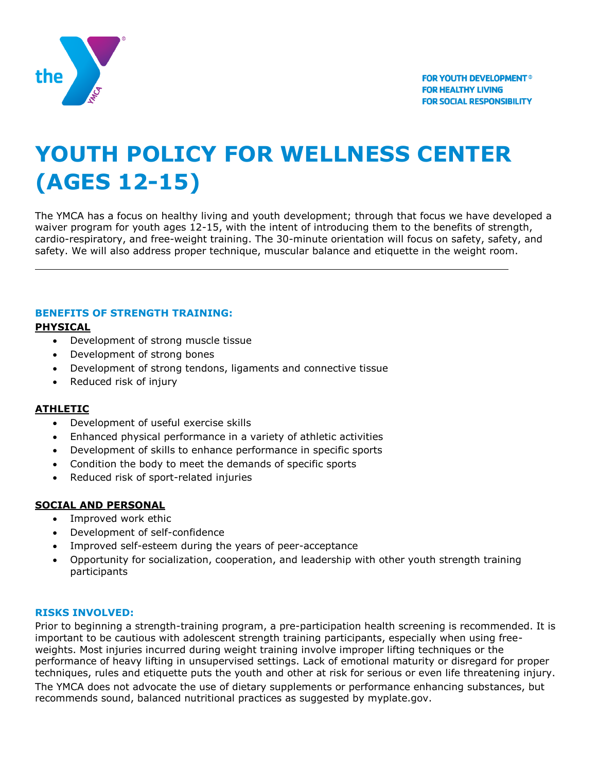

# **YOUTH POLICY FOR WELLNESS CENTER (AGES 12-15)**

The YMCA has a focus on healthy living and youth development; through that focus we have developed a waiver program for youth ages 12-15, with the intent of introducing them to the benefits of strength, cardio-respiratory, and free-weight training. The 30-minute orientation will focus on safety, safety, and safety. We will also address proper technique, muscular balance and etiquette in the weight room.

# **BENEFITS OF STRENGTH TRAINING:**

## **PHYSICAL**

- Development of strong muscle tissue
- Development of strong bones
- Development of strong tendons, ligaments and connective tissue
- Reduced risk of injury

### **ATHLETIC**

- Development of useful exercise skills
- Enhanced physical performance in a variety of athletic activities
- Development of skills to enhance performance in specific sports
- Condition the body to meet the demands of specific sports
- Reduced risk of sport-related injuries

### **SOCIAL AND PERSONAL**

- Improved work ethic
- Development of self-confidence
- Improved self-esteem during the years of peer-acceptance
- Opportunity for socialization, cooperation, and leadership with other youth strength training participants

### **RISKS INVOLVED:**

Prior to beginning a strength-training program, a pre-participation health screening is recommended. It is important to be cautious with adolescent strength training participants, especially when using freeweights. Most injuries incurred during weight training involve improper lifting techniques or the performance of heavy lifting in unsupervised settings. Lack of emotional maturity or disregard for proper techniques, rules and etiquette puts the youth and other at risk for serious or even life threatening injury. The YMCA does not advocate the use of dietary supplements or performance enhancing substances, but recommends sound, balanced nutritional practices as suggested by myplate.gov.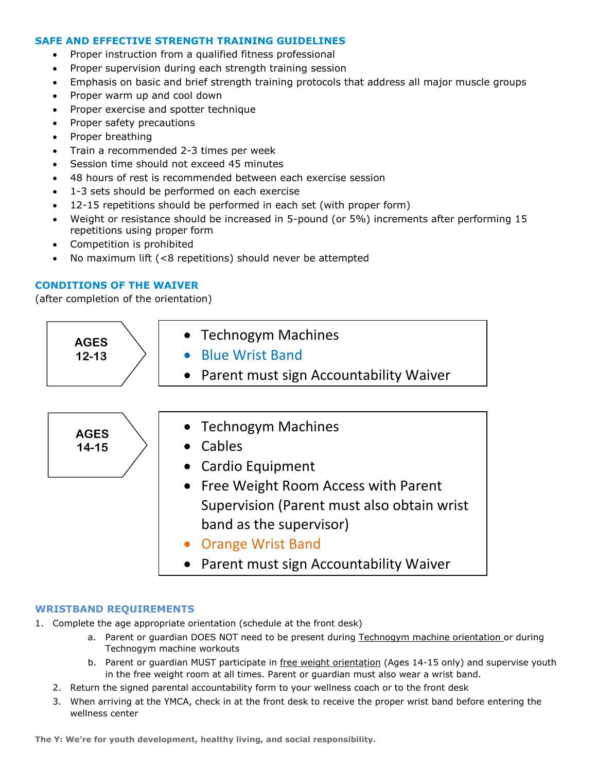#### **SAFE AND EFFECTIVE STRENGTH TRAINING GUIDELINES**

- Proper instruction from a qualified fitness professional
- Proper supervision during each strength training session
- Emphasis on basic and brief strength training protocols that address all major muscle groups
- Proper warm up and cool down
- Proper exercise and spotter technique
- Proper safety precautions
- Proper breathing
- Train a recommended 2-3 times per week
- Session time should not exceed 45 minutes
- 48 hours of rest is recommended between each exercise session
- 1-3 sets should be performed on each exercise
- 12-15 repetitions should be performed in each set (with proper form)
- Weight or resistance should be increased in 5-pound (or 5%) increments after performing 15 repetitions using proper form
- Competition is prohibited
- No maximum lift (<8 repetitions) should never be attempted

#### **CONDITIONS OF THE WAIVER**

(after completion of the orientation)



#### **WRISTBAND REQUIREMENTS**

- 1. Complete the age appropriate orientation (schedule at the front desk)
	- a. Parent or guardian DOES NOT need to be present during Technogym machine orientation or during Technogym machine workouts
	- b. Parent or guardian MUST participate in free weight orientation (Ages 14-15 only) and supervise youth in the free weight room at all times. Parent or guardian must also wear a wrist band.
	- 2. Return the signed parental accountability form to your wellness coach or to the front desk
	- 3. When arriving at the YMCA, check in at the front desk to receive the proper wrist band before entering the wellness center

**The Y: We're for youth development, healthy living, and social responsibility.**